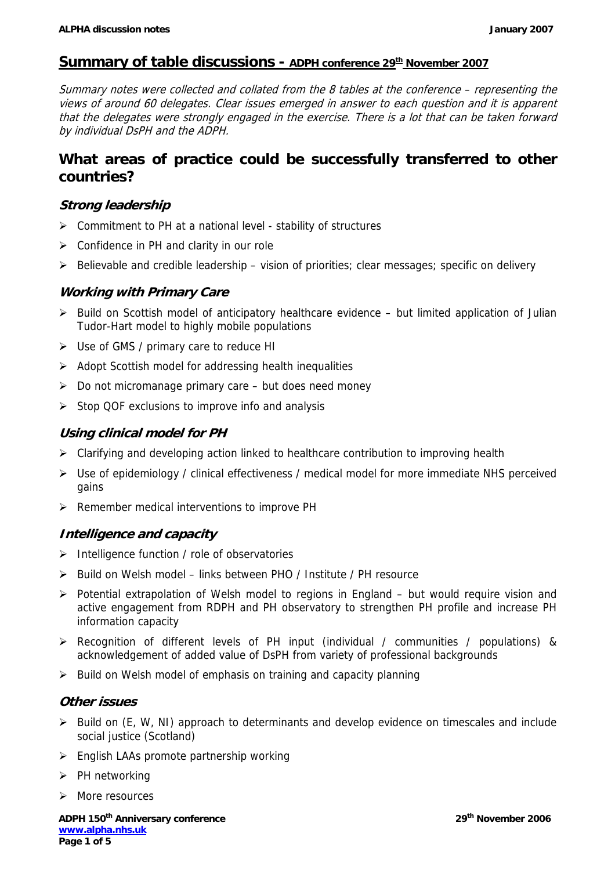## **Summary of table discussions - ADPH conference 29<sup>th</sup> November 2007**

Summary notes were collected and collated from the 8 tables at the conference – representing the views of around 60 delegates. Clear issues emerged in answer to each question and it is apparent that the delegates were strongly engaged in the exercise. There is a lot that can be taken forward by individual DsPH and the ADPH.

# **What areas of practice could be successfully transferred to other countries?**

### **Strong leadership**

- $\triangleright$  Commitment to PH at a national level stability of structures
- $\triangleright$  Confidence in PH and clarity in our role
- $\triangleright$  Believable and credible leadership vision of priorities; clear messages; specific on delivery

#### **Working with Primary Care**

- $\triangleright$  Build on Scottish model of anticipatory healthcare evidence but limited application of Julian Tudor-Hart model to highly mobile populations
- ¾ Use of GMS / primary care to reduce HI
- $\triangleright$  Adopt Scottish model for addressing health inequalities
- $\triangleright$  Do not micromanage primary care but does need money
- ¾ Stop QOF exclusions to improve info and analysis

#### **Using clinical model for PH**

- ¾ Clarifying and developing action linked to healthcare contribution to improving health
- ¾ Use of epidemiology / clinical effectiveness / medical model for more immediate NHS perceived gains
- $\triangleright$  Remember medical interventions to improve PH

#### **Intelligence and capacity**

- ¾ Intelligence function / role of observatories
- $\triangleright$  Build on Welsh model links between PHO / Institute / PH resource
- $\triangleright$  Potential extrapolation of Welsh model to regions in England but would require vision and active engagement from RDPH and PH observatory to strengthen PH profile and increase PH information capacity
- ¾ Recognition of different levels of PH input (individual / communities / populations) & acknowledgement of added value of DsPH from variety of professional backgrounds
- $\triangleright$  Build on Welsh model of emphasis on training and capacity planning

#### **Other issues**

- ¾ Build on (E, W, NI) approach to determinants and develop evidence on timescales and include social justice (Scotland)
- $\triangleright$  English LAAs promote partnership working
- $\triangleright$  PH networking
- ¾ More resources

ADPH 150<sup>th</sup> Anniversary conference 2006 29<sup>th</sup> November 2006 **www.alpha.nhs.uk Page 1 of 5**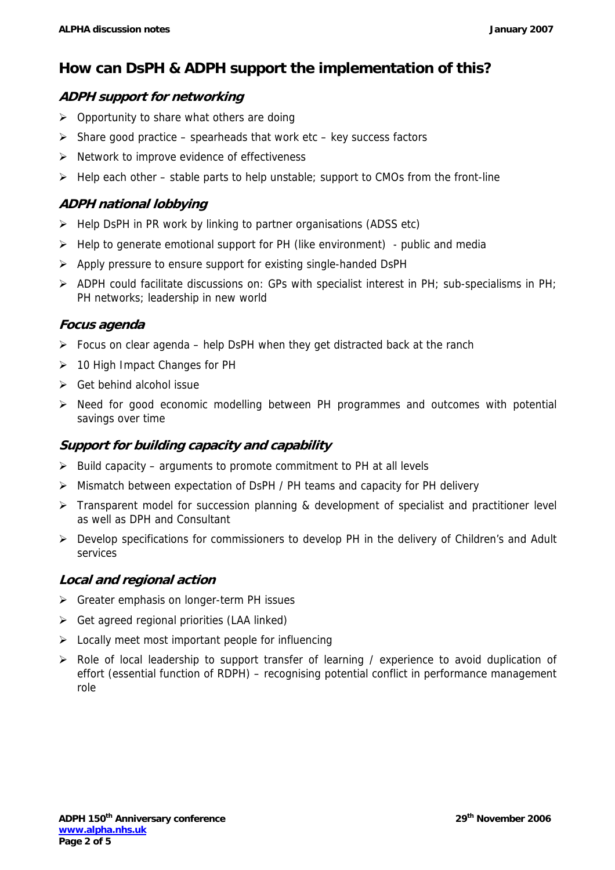# **How can DsPH & ADPH support the implementation of this?**

## **ADPH support for networking**

- $\triangleright$  Opportunity to share what others are doing
- $\triangleright$  Share good practice spearheads that work etc key success factors
- $\triangleright$  Network to improve evidence of effectiveness
- $\triangleright$  Help each other stable parts to help unstable; support to CMOs from the front-line

## **ADPH national lobbying**

- ¾ Help DsPH in PR work by linking to partner organisations (ADSS etc)
- $\triangleright$  Help to generate emotional support for PH (like environment) public and media
- ¾ Apply pressure to ensure support for existing single-handed DsPH
- $\triangleright$  ADPH could facilitate discussions on: GPs with specialist interest in PH; sub-specialisms in PH; PH networks; leadership in new world

### **Focus agenda**

- $\triangleright$  Focus on clear agenda help DsPH when they get distracted back at the ranch
- $\geq 10$  High Impact Changes for PH
- $\triangleright$  Get behind alcohol issue
- $\triangleright$  Need for good economic modelling between PH programmes and outcomes with potential savings over time

### **Support for building capacity and capability**

- $\triangleright$  Build capacity arguments to promote commitment to PH at all levels
- ¾ Mismatch between expectation of DsPH / PH teams and capacity for PH delivery
- $\triangleright$  Transparent model for succession planning & development of specialist and practitioner level as well as DPH and Consultant
- ¾ Develop specifications for commissioners to develop PH in the delivery of Children's and Adult services

### **Local and regional action**

- $\triangleright$  Greater emphasis on longer-term PH issues
- $\triangleright$  Get agreed regional priorities (LAA linked)
- $\triangleright$  Locally meet most important people for influencing
- ¾ Role of local leadership to support transfer of learning / experience to avoid duplication of effort (essential function of RDPH) – recognising potential conflict in performance management role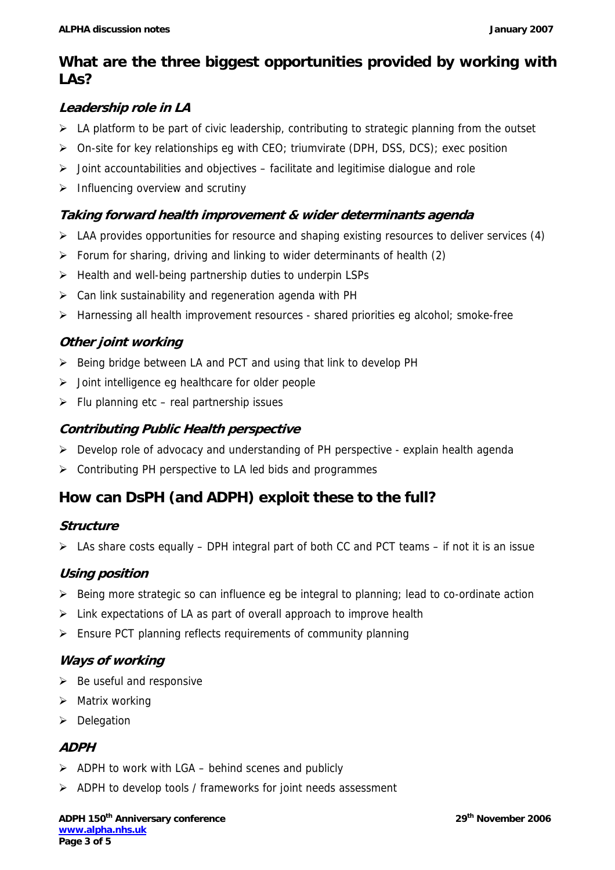# **What are the three biggest opportunities provided by working with LAs?**

# **Leadership role in LA**

- $\triangleright$  LA platform to be part of civic leadership, contributing to strategic planning from the outset
- ¾ On-site for key relationships eg with CEO; triumvirate (DPH, DSS, DCS); exec position
- $\triangleright$  Joint accountabilities and objectives facilitate and legitimise dialogue and role
- $\triangleright$  Influencing overview and scrutiny

# **Taking forward health improvement & wider determinants agenda**

- $\triangleright$  LAA provides opportunities for resource and shaping existing resources to deliver services (4)
- $\triangleright$  Forum for sharing, driving and linking to wider determinants of health (2)
- $\triangleright$  Health and well-being partnership duties to underpin LSPs
- $\triangleright$  Can link sustainability and regeneration agenda with PH
- $\triangleright$  Harnessing all health improvement resources shared priorities eg alcohol; smoke-free

# **Other joint working**

- $\triangleright$  Being bridge between LA and PCT and using that link to develop PH
- $\triangleright$  Joint intelligence eg healthcare for older people
- $\triangleright$  Flu planning etc real partnership issues

# **Contributing Public Health perspective**

- $\triangleright$  Develop role of advocacy and understanding of PH perspective explain health agenda
- $\triangleright$  Contributing PH perspective to LA led bids and programmes

# **How can DsPH (and ADPH) exploit these to the full?**

### **Structure**

 $\triangleright$  LAs share costs equally – DPH integral part of both CC and PCT teams – if not it is an issue

# **Using position**

- $\triangleright$  Being more strategic so can influence eg be integral to planning; lead to co-ordinate action
- $\triangleright$  Link expectations of LA as part of overall approach to improve health
- ¾ Ensure PCT planning reflects requirements of community planning

# **Ways of working**

- $\triangleright$  Be useful and responsive
- $\triangleright$  Matrix working
- $\triangleright$  Delegation

### **ADPH**

- $\triangleright$  ADPH to work with LGA behind scenes and publicly
- ¾ ADPH to develop tools / frameworks for joint needs assessment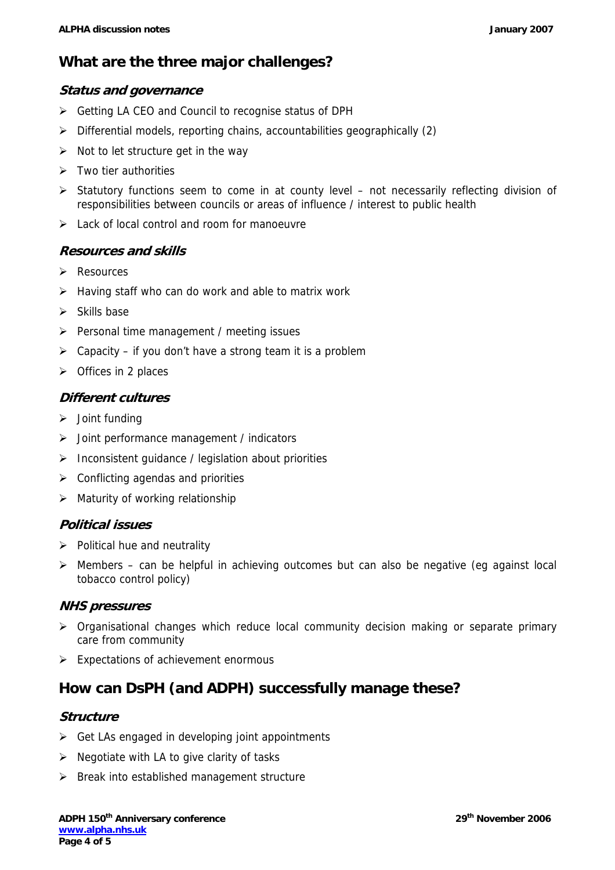# **What are the three major challenges?**

#### **Status and governance**

- ¾ Getting LA CEO and Council to recognise status of DPH
- ¾ Differential models, reporting chains, accountabilities geographically (2)
- $\triangleright$  Not to let structure get in the way
- $\triangleright$  Two tier authorities
- $\triangleright$  Statutory functions seem to come in at county level not necessarily reflecting division of responsibilities between councils or areas of influence / interest to public health
- $\triangleright$  Lack of local control and room for manoeuvre

## **Resources and skills**

- $\triangleright$  Resources
- $\triangleright$  Having staff who can do work and able to matrix work
- $\triangleright$  Skills base
- $\triangleright$  Personal time management / meeting issues
- $\triangleright$  Capacity if you don't have a strong team it is a problem
- $\triangleright$  Offices in 2 places

#### **Different cultures**

- $\triangleright$  Joint funding
- $\triangleright$  Joint performance management / indicators
- ¾ Inconsistent guidance / legislation about priorities
- $\triangleright$  Conflicting agendas and priorities
- $\triangleright$  Maturity of working relationship

#### **Political issues**

- $\triangleright$  Political hue and neutrality
- $\triangleright$  Members can be helpful in achieving outcomes but can also be negative (eg against local tobacco control policy)

#### **NHS pressures**

- ¾ Organisational changes which reduce local community decision making or separate primary care from community
- $\triangleright$  Expectations of achievement enormous

# **How can DsPH (and ADPH) successfully manage these?**

#### **Structure**

- $\triangleright$  Get LAs engaged in developing joint appointments
- $\triangleright$  Negotiate with LA to give clarity of tasks
- $\triangleright$  Break into established management structure